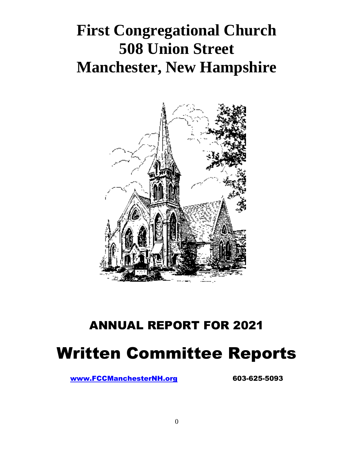# **First Congregational Church 508 Union Street Manchester, New Hampshire**



# ANNUAL REPORT FOR 2021 Written Committee Reports

[www.FCCManchesterNH.org](http://www.fccmanchesternh.org/) 603-625-5093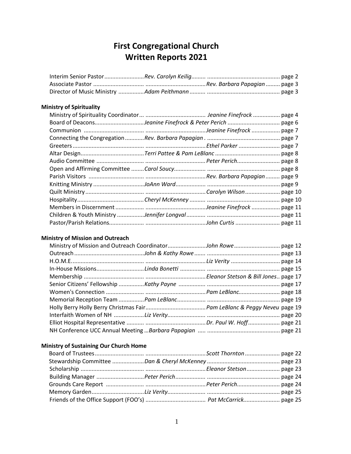# **First Congregational Church Written Reports 2021**

#### **Ministry of Spirituality**

#### **Ministry of Mission and Outreach**

#### **Ministry of Sustaining Our Church Home**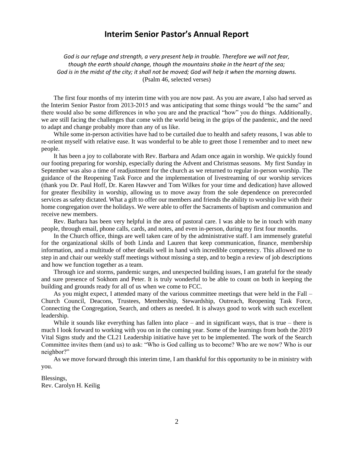#### **Interim Senior Pastor's Annual Report**

*God is our refuge and strength, a very present help in trouble. Therefore we will not fear, though the earth should change, though the mountains shake in the heart of the sea;* God is in the midst of the city; it shall not be moved; God will help it when the morning dawns. (Psalm 46, selected verses)

The first four months of my interim time with you are now past. As you are aware, I also had served as the Interim Senior Pastor from 2013-2015 and was anticipating that some things would "be the same" and there would also be some differences in who you are and the practical "how" you do things. Additionally, we are still facing the challenges that come with the world being in the grips of the pandemic, and the need to adapt and change probably more than any of us like.

While some in-person activities have had to be curtailed due to health and safety reasons, I was able to re-orient myself with relative ease. It was wonderful to be able to greet those I remember and to meet new people.

It has been a joy to collaborate with Rev. Barbara and Adam once again in worship. We quickly found our footing preparing for worship, especially during the Advent and Christmas seasons. My first Sunday in September was also a time of readjustment for the church as we returned to regular in-person worship. The guidance of the Reopening Task Force and the implementation of livestreaming of our worship services (thank you Dr. Paul Hoff, Dr. Karen Hawver and Tom Wilkes for your time and dedication) have allowed for greater flexibility in worship, allowing us to move away from the sole dependence on prerecorded services as safety dictated. What a gift to offer our members and friends the ability to worship live with their home congregation over the holidays. We were able to offer the Sacraments of baptism and communion and receive new members.

Rev. Barbara has been very helpful in the area of pastoral care. I was able to be in touch with many people, through email, phone calls, cards, and notes, and even in-person, during my first four months.

In the Church office, things are well taken care of by the administrative staff. I am immensely grateful for the organizational skills of both Linda and Lauren that keep communication, finance, membership information, and a multitude of other details well in hand with incredible competency. This allowed me to step in and chair our weekly staff meetings without missing a step, and to begin a review of job descriptions and how we function together as a team.

Through ice and storms, pandemic surges, and unexpected building issues, I am grateful for the steady and sure presence of Sokhom and Peter. It is truly wonderful to be able to count on both in keeping the building and grounds ready for all of us when we come to FCC.

As you might expect, I attended many of the various committee meetings that were held in the Fall – Church Council, Deacons, Trustees, Membership, Stewardship, Outreach, Reopening Task Force, Connecting the Congregation, Search, and others as needed. It is always good to work with such excellent leadership.

While it sounds like everything has fallen into place – and in significant ways, that is true – there is much I look forward to working with you on in the coming year. Some of the learnings from both the 2019 Vital Signs study and the CL21 Leadership initiative have yet to be implemented. The work of the Search Committee invites them (and us) to ask: "Who is God calling us to become? Who are we now? Who is our neighbor?"

As we move forward through this interim time, I am thankful for this opportunity to be in ministry with you.

Blessings, Rev. Carolyn H. Keilig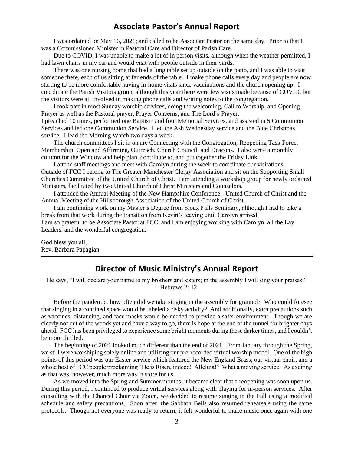#### **Associate Pastor's Annual Report**

I was ordained on May 16, 2021; and called to be Associate Pastor on the same day. Prior to that I was a Commissioned Minister in Pastoral Care and Director of Parish Care.

Due to COVID, I was unable to make a lot of in person visits, although when the weather permitted, I had lawn chairs in my car and would visit with people outside in their yards.

There was one nursing home that had a long table set up outside on the patio, and I was able to visit someone there, each of us sitting at far ends of the table. I make phone calls every day and people are now starting to be more comfortable having in-home visits since vaccinations and the church opening up. I coordinate the Parish Visitors group, although this year there were few visits made because of COVID, but the visitors were all involved in making phone calls and writing notes to the congregation.

I took part in most Sunday worship services, doing the welcoming, Call to Worship, and Opening Prayer as well as the Pastoral prayer, Prayer Concerns, and The Lord's Prayer.

I preached 10 times, performed one Baptism and four Memorial Services, and assisted in 5 Communion Services and led one Communion Service. I led the Ash Wednesday service and the Blue Christmas service. I lead the Morning Watch two days a week.

The church committees I sit in on are Connecting with the Congregation, Reopening Task Force, Membership, Open and Affirming, Outreach, Church Council, and Deacons. I also write a monthly column for the Window and help plan, contribute to, and put together the Friday Link.

I attend staff meetings and meet with Carolyn during the week to coordinate our visitations. Outside of FCC I belong to The Greater Manchester Clergy Association and sit on the Supporting Small Churches Committee of the United Church of Christ. I am attending a workshop group for newly ordained Ministers, facilitated by two United Church of Christ Ministers and Counselors.

I attended the Annual Meeting of the New Hampshire Conference - United Church of Christ and the Annual Meeting of the Hillsborough Association of the United Church of Christ.

I am continuing work on my Master's Degree from Sioux Falls Seminary, although I had to take a break from that work during the transition from Kevin's leaving until Carolyn arrived. I am so grateful to be Associate Pastor at FCC, and I am enjoying working with Carolyn, all the Lay Leaders, and the wonderful congregation.

God bless you all, Rev. Barbara Papagian

## **Director of Music Ministry's Annual Report**

He says, "I will declare your name to my brothers and sisters; in the assembly I will sing your praises." - Hebrews 2: 12

Before the pandemic, how often did we take singing in the assembly for granted? Who could foresee that singing in a confined space would be labeled a risky activity? And additionally, extra precautions such as vaccines, distancing, and face masks would be needed to provide a safer environment. Though we are clearly not out of the woods yet and have a way to go, there is hope at the end of the tunnel for brighter days ahead. FCC has been privileged to experience some bright moments during these darker times, and I couldn't be more thrilled.

The beginning of 2021 looked much different than the end of 2021. From January through the Spring, we still were worshiping solely online and utilizing our pre-recorded virtual worship model. One of the high points of this period was our Easter service which featured the New England Brass, our virtual choir, and a whole host of FCC people proclaiming "He is Risen, indeed! Alleluia!" What a moving service! As exciting as that was, however, much more was in store for us.

As we moved into the Spring and Summer months, it became clear that a reopening was soon upon us. During this period, I continued to produce virtual services along with playing for in-person services. After consulting with the Chancel Choir via Zoom, we decided to resume singing in the Fall using a modified schedule and safety precautions. Soon after, the Sabbath Bells also resumed rehearsals using the same protocols. Though not everyone was ready to return, it felt wonderful to make music once again with one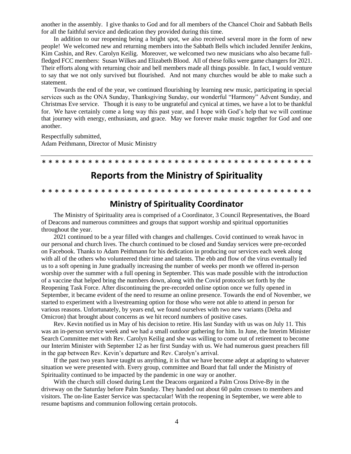another in the assembly. I give thanks to God and for all members of the Chancel Choir and Sabbath Bells for all the faithful service and dedication they provided during this time.

In addition to our reopening being a bright spot, we also received several more in the form of new people! We welcomed new and returning members into the Sabbath Bells which included Jennifer Jenkins, Kim Cashin, and Rev. Carolyn Keilig. Moreover, we welcomed two new musicians who also became fullfledged FCC members: Susan Wilkes and Elizabeth Blood. All of these folks were game changers for 2021. Their efforts along with returning choir and bell members made all things possible. In fact, I would venture to say that we not only survived but flourished. And not many churches would be able to make such a statement.

Towards the end of the year, we continued flourishing by learning new music, participating in special services such as the ONA Sunday, Thanksgiving Sunday, our wonderful "Harmony" Advent Sunday, and Christmas Eve service. Though it is easy to be ungrateful and cynical at times, we have a lot to be thankful for. We have certainly come a long way this past year, and I hope with God's help that we will continue that journey with energy, enthusiasm, and grace. May we forever make music together for God and one another.

Respectfully submitted, Adam Peithmann, Director of Music Ministry

# **Reports from the Ministry of Spirituality**

\* \* \* \* \* \* \* \* \* \* \* \* \* \* \* \* \* \* \* \* \* \* \* \* \* \* \* \* \* \* \* \* \* \* \* \* \* \* \* \* \*

#### \* \* \* \* \* \* \* \* \* \* \* \* \* \* \* \* \* \* \* \* \* \* \* \* \* \* \* \* \* \* \* \* \* \* \* \* \* \* \* \* \*

#### **Ministry of Spirituality Coordinator**

The Ministry of Spirituality area is comprised of a Coordinator, 3 Council Representatives, the Board of Deacons and numerous committees and groups that support worship and spiritual opportunities throughout the year.

2021 continued to be a year filled with changes and challenges. Covid continued to wreak havoc in our personal and church lives. The church continued to be closed and Sunday services were pre-recorded on Facebook. Thanks to Adam Peithmann for his dedication in producing our services each week along with all of the others who volunteered their time and talents. The ebb and flow of the virus eventually led us to a soft opening in June gradually increasing the number of weeks per month we offered in-person worship over the summer with a full opening in September. This was made possible with the introduction of a vaccine that helped bring the numbers down, along with the Covid protocols set forth by the Reopening Task Force. After discontinuing the pre-recorded online option once we fully opened in September, it became evident of the need to resume an online presence. Towards the end of November, we started to experiment with a livestreaming option for those who were not able to attend in person for various reasons. Unfortunately, by years end, we found ourselves with two new variants (Delta and Omicron) that brought about concerns as we hit record numbers of positive cases.

Rev. Kevin notified us in May of his decision to retire. His last Sunday with us was on July 11. This was an in-person service week and we had a small outdoor gathering for him. In June, the Interim Minister Search Committee met with Rev. Carolyn Keilig and she was willing to come out of retirement to become our Interim Minister with September 12 as her first Sunday with us. We had numerous guest preachers fill in the gap between Rev. Kevin's departure and Rev. Carolyn's arrival.

If the past two years have taught us anything, it is that we have become adept at adapting to whatever situation we were presented with. Every group, committee and Board that fall under the Ministry of Spirituality continued to be impacted by the pandemic in one way or another.

With the church still closed during Lent the Deacons organized a Palm Cross Drive-By in the driveway on the Saturday before Palm Sunday. They handed out about 60 palm crosses to members and visitors. The on-line Easter Service was spectacular! With the reopening in September, we were able to resume baptisms and communion following certain protocols.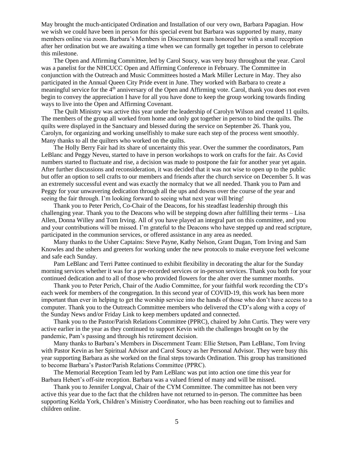May brought the much-anticipated Ordination and Installation of our very own, Barbara Papagian. How we wish we could have been in person for this special event but Barbara was supported by many, many members online via zoom. Barbara's Members in Discernment team honored her with a small reception after her ordination but we are awaiting a time when we can formally get together in person to celebrate this milestone.

The Open and Affirming Committee, led by Carol Soucy, was very busy throughout the year. Carol was a panelist for the NHCUCC Open and Affirming Conference in February. The Committee in conjunction with the Outreach and Music Committees hosted a Mark Miller Lecture in May. They also participated in the Annual Queen City Pride event in June. They worked with Barbara to create a meaningful service for the 4<sup>th</sup> anniversary of the Open and Affirming vote. Carol, thank you does not even begin to convey the appreciation I have for all you have done to keep the group working towards finding ways to live into the Open and Affirming Covenant.

The Quilt Ministry was active this year under the leadership of Carolyn Wilson and created 11 quilts. The members of the group all worked from home and only got together in person to bind the quilts. The quilts were displayed in the Sanctuary and blessed during the service on September 26. Thank you, Carolyn, for organizing and working unselfishly to make sure each step of the process went smoothly. Many thanks to all the quilters who worked on the quilts.

The Holly Berry Fair had its share of uncertainty this year. Over the summer the coordinators, Pam LeBlanc and Peggy Neveu, started to have in person workshops to work on crafts for the fair. As Covid numbers started to fluctuate and rise, a decision was made to postpone the fair for another year yet again. After further discussions and reconsideration, it was decided that it was not wise to open up to the public but offer an option to sell crafts to our members and friends after the church service on December 5. It was an extremely successful event and was exactly the normalcy that we all needed. Thank you to Pam and Peggy for your unwavering dedication through all the ups and downs over the course of the year and seeing the fair through. I'm looking forward to seeing what next year will bring!

Thank you to Peter Perich, Co-Chair of the Deacons, for his steadfast leadership through this challenging year. Thank you to the Deacons who will be stepping down after fulfilling their terms – Lisa Allen, Donna Willey and Tom Irving. All of you have played an integral part on this committee, and you and your contributions will be missed. I'm grateful to the Deacons who have stepped up and read scripture, participated in the communion services, or offered assistance in any area as needed.

Many thanks to the Usher Captains: Steve Payne, Kathy Nelson, Grant Dugan, Tom Irving and Sam Knowles and the ushers and greeters for working under the new protocols to make everyone feel welcome and safe each Sunday.

Pam LeBlanc and Terri Pattee continued to exhibit flexibility in decorating the altar for the Sunday morning services whether it was for a pre-recorded services or in-person services. Thank you both for your continued dedication and to all of those who provided flowers for the alter over the summer months.

Thank you to Peter Perich, Chair of the Audio Committee, for your faithful work recording the CD's each week for members of the congregation. In this second year of COVID-19, this work has been more important than ever in helping to get the worship service into the hands of those who don't have access to a computer. Thank you to the Outreach Committee members who delivered the CD's along with a copy of the Sunday News and/or Friday Link to keep members updated and connected.

Thank you to the Pastor/Parish Relations Committee (PPRC), chaired by John Curtis. They were very active earlier in the year as they continued to support Kevin with the challenges brought on by the pandemic, Pam's passing and through his retirement decision.

Many thanks to Barbara's Members in Discernment Team: Ellie Stetson, Pam LeBlanc, Tom Irving with Pastor Kevin as her Spiritual Advisor and Carol Soucy as her Personal Advisor. They were busy this year supporting Barbara as she worked on the final steps towards Ordination. This group has transitioned to become Barbara's Pastor/Parish Relations Committee (PPRC).

The Memorial Reception Team led by Pam LeBlanc was put into action one time this year for Barbara Hebert's off-site reception. Barbara was a valued friend of many and will be missed.

Thank you to Jennifer Longval, Chair of the CYM Committee. The committee has not been very active this year due to the fact that the children have not returned to in-person. The committee has been supporting Kelda York, Children's Ministry Coordinator, who has been reaching out to families and children online.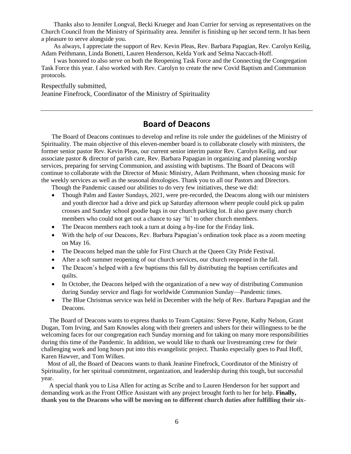Thanks also to Jennifer Longval, Becki Krueger and Joan Currier for serving as representatives on the Church Council from the Ministry of Spirituality area. Jennifer is finishing up her second term. It has been a pleasure to serve alongside you.

As always, I appreciate the support of Rev. Kevin Pleas, Rev. Barbara Papagian, Rev. Carolyn Keilig, Adam Peithmann, Linda Bonetti, Lauren Henderson, Kelda York and Selma Naccach-Hoff.

I was honored to also serve on both the Reopening Task Force and the Connecting the Congregation Task Force this year. I also worked with Rev. Carolyn to create the new Covid Baptism and Communion protocols.

Respectfully submitted, Jeanine Finefrock, Coordinator of the Ministry of Spirituality

# **Board of Deacons**

The Board of Deacons continues to develop and refine its role under the guidelines of the Ministry of Spirituality. The main objective of this eleven-member board is to collaborate closely with ministers, the former senior pastor Rev. Kevin Pleas, our current senior interim pastor Rev. Carolyn Keilig, and our associate pastor & director of parish care, Rev. Barbara Papagian in organizing and planning worship services, preparing for serving Communion, and assisting with baptisms. The Board of Deacons will continue to collaborate with the Director of Music Ministry, Adam Peithmann, when choosing music for the weekly services as well as the seasonal doxologies. Thank you to all our Pastors and Directors.

Though the Pandemic caused our abilities to do very few initiatives, these we did:

- Though Palm and Easter Sundays, 2021, were pre-recorded, the Deacons along with our ministers and youth director had a drive and pick up Saturday afternoon where people could pick up palm crosses and Sunday school goodie bags in our church parking lot. It also gave many church members who could not get out a chance to say 'hi' to other church members.
- The Deacon members each took a turn at doing a by-line for the Friday link.
- With the help of our Deacons, Rev. Barbara Papagian's ordination took place as a zoom meeting on May 16.
- The Deacons helped man the table for First Church at the Queen City Pride Festival.
- After a soft summer reopening of our church services, our church reopened in the fall.
- The Deacon's helped with a few baptisms this fall by distributing the baptism certificates and quilts.
- In October, the Deacons helped with the organization of a new way of distributing Communion during Sunday service and flags for worldwide Communion Sunday—Pandemic times.
- The Blue Christmas service was held in December with the help of Rev. Barbara Papagian and the Deacons.

 The Board of Deacons wants to express thanks to Team Captains: Steve Payne, Kathy Nelson, Grant Dugan, Tom Irving, and Sam Knowles along with their greeters and ushers for their willingness to be the welcoming faces for our congregation each Sunday morning and for taking on many more responsibilities during this time of the Pandemic. In addition, we would like to thank our livestreaming crew for their challenging work and long hours put into this evangelistic project. Thanks especially goes to Paul Hoff, Karen Hawver, and Tom Wilkes.

 Most of all, the Board of Deacons wants to thank Jeanine Finefrock, Coordinator of the Ministry of Spirituality, for her spiritual commitment, organization, and leadership during this tough, but successful year.

 A special thank you to Lisa Allen for acting as Scribe and to Lauren Henderson for her support and demanding work as the Front Office Assistant with any project brought forth to her for help. **Finally, thank you to the Deacons who will be moving on to different church duties after fulfilling their six-**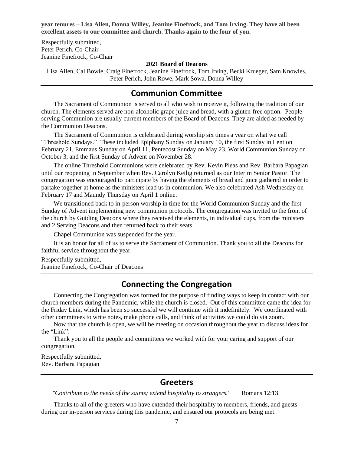**year tenures – Lisa Allen, Donna Willey, Jeanine Finefrock, and Tom Irving. They have all been excellent assets to our committee and church. Thanks again to the four of you.**

Respectfully submitted, Peter Perich, Co-Chair Jeanine Finefrock, Co-Chair

#### **2021 Board of Deacons**

Lisa Allen, Cal Bowie, Craig Finefrock, Jeanine Finefrock, Tom Irving, Becki Krueger, Sam Knowles, Peter Perich, John Rowe, Mark Sowa, Donna Willey

#### **Communion Committee**

The Sacrament of Communion is served to all who wish to receive it, following the tradition of our church. The elements served are non-alcoholic grape juice and bread, with a gluten-free option. People serving Communion are usually current members of the Board of Deacons. They are aided as needed by the Communion Deacons.

The Sacrament of Communion is celebrated during worship six times a year on what we call "Threshold Sundays." These included Epiphany Sunday on January 10, the first Sunday in Lent on February 21, Emmaus Sunday on April 11, Pentecost Sunday on May 23, World Communion Sunday on October 3, and the first Sunday of Advent on November 28.

The online Threshold Communions were celebrated by Rev. Kevin Pleas and Rev. Barbara Papagian until our reopening in September when Rev. Carolyn Keilig returned as our Interim Senior Pastor. The congregation was encouraged to participate by having the elements of bread and juice gathered in order to partake together at home as the ministers lead us in communion. We also celebrated Ash Wednesday on February 17 and Maundy Thursday on April 1 online.

We transitioned back to in-person worship in time for the World Communion Sunday and the first Sunday of Advent implementing new communion protocols. The congregation was invited to the front of the church by Guiding Deacons where they received the elements, in individual cups, from the ministers and 2 Serving Deacons and then returned back to their seats.

Chapel Communion was suspended for the year.

It is an honor for all of us to serve the Sacrament of Communion. Thank you to all the Deacons for faithful service throughout the year.

Respectfully submitted, Jeanine Finefrock, Co-Chair of Deacons

## **Connecting the Congregation**

Connecting the Congregation was formed for the purpose of finding ways to keep in contact with our church members during the Pandemic, while the church is closed. Out of this committee came the idea for the Friday Link, which has been so successful we will continue with it indefinitely. We coordinated with other committees to write notes, make phone calls, and think of activities we could do via zoom.

Now that the church is open, we will be meeting on occasion throughout the year to discuss ideas for the "Link".

Thank you to all the people and committees we worked with for your caring and support of our congregation.

Respectfully submitted, Rev. Barbara Papagian

#### **Greeters**

*"Contribute to the needs of the saints; extend hospitality to strangers."* Romans 12:13

Thanks to all of the greeters who have extended their hospitality to members, friends, and guests during our in-person services during this pandemic, and ensured our protocols are being met.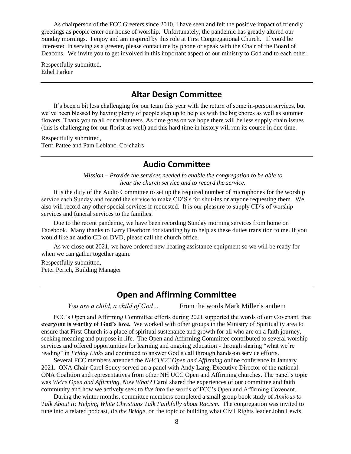As chairperson of the FCC Greeters since 2010, I have seen and felt the positive impact of friendly greetings as people enter our house of worship. Unfortunately, the pandemic has greatly altered our Sunday mornings. I enjoy and am inspired by this role at First Congregational Church. If you'd be interested in serving as a greeter, please contact me by phone or speak with the Chair of the Board of Deacons. We invite you to get involved in this important aspect of our ministry to God and to each other.

Respectfully submitted, Ethel Parker

## **Altar Design Committee**

It's been a bit less challenging for our team this year with the return of some in-person services, but we've been blessed by having plenty of people step up to help us with the big chores as well as summer flowers. Thank you to all our volunteers. As time goes on we hope there will be less supply chain issues (this is challenging for our florist as well) and this hard time in history will run its course in due time.

Respectfully submitted, Terri Pattee and Pam Leblanc, Co-chairs

## **Audio Committee**

*Mission – Provide the services needed to enable the congregation to be able to hear the church service and to record the service.*

It is the duty of the Audio Committee to set up the required number of microphones for the worship service each Sunday and record the service to make CD'S s for shut-ins or anyone requesting them. We also will record any other special services if requested. It is our pleasure to supply CD's of worship services and funeral services to the families.

Due to the recent pandemic, we have been recording Sunday morning services from home on Facebook. Many thanks to Larry Dearborn for standing by to help as these duties transition to me. If you would like an audio CD or DVD, please call the church office.

As we close out 2021, we have ordered new hearing assistance equipment so we will be ready for when we can gather together again.

Respectfully submitted,

Peter Perich, Building Manager

## **Open and Affirming Committee**

*You are a child, a child of God...* From the words Mark Miller's anthem

FCC's Open and Affirming Committee efforts during 2021 supported the words of our Covenant, that **everyone is worthy of God's love.** We worked with other groups in the Ministry of Spirituality area to ensure that First Church is a place of spiritual sustenance and growth for all who are on a faith journey, seeking meaning and purpose in life. The Open and Affirming Committee contributed to several worship services and offered opportunities for learning and ongoing education - through sharing "what we're reading" in *Friday Links* and continued to answer God's call through hands-on service efforts.

Several FCC members attended the *NHCUCC Open and Affirming* online conference in January 2021. ONA Chair Carol Soucy served on a panel with Andy Lang, Executive Director of the national ONA Coalition and representatives from other NH UCC Open and Affirming churches. The panel's topic was *We're Open and Affirming, Now What?* Carol shared the experiences of our committee and faith community and how we actively seek to *live into* the words of FCC's Open and Affirming Covenant.

During the winter months, committee members completed a small group book study of *Anxious to Talk About It: Helping White Christians Talk Faithfully about Racism.* The congregation was invited to tune into a related podcast, *Be the Bridge,* on the topic of building what Civil Rights leader John Lewis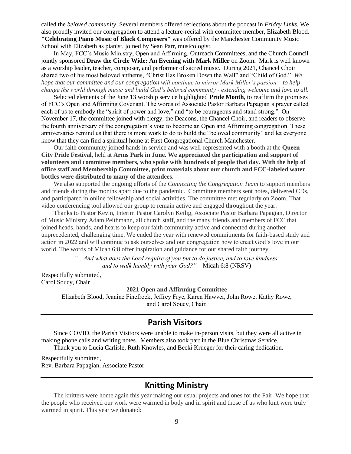called the *beloved community*. Several members offered reflections about the podcast in *Friday Links.* We also proudly invited our congregation to attend a lecture-recital with committee member, Elizabeth Blood. **"Celebrating Piano Music of Black Composers"** was offered by the Manchester Community Music School with Elizabeth as pianist, joined by Sean Parr, musicologist.

In May, FCC's Music Ministry, Open and Affirming, Outreach Committees, and the Church Council jointly sponsored **Draw the Circle Wide: An Evening with Mark Miller** on Zoom**.** Mark is well known as a worship leader, teacher, composer, and performer of sacred music. During 2021, Chancel Choir shared two of his most beloved anthems, "Christ Has Broken Down the Wall" and "Child of God." *We hope that our committee and our congregation will continue to mirror Mark Miller's passion – to help change the world through music and build God's beloved community - extending welcome and love to all.* 

Selected elements of the June 13 worship service highlighted **Pride Month**, to reaffirm the promises of FCC's Open and Affirming Covenant. The words of Associate Pastor Barbara Papagian's prayer called each of us to embody the "spirit of power and love," and "to be courageous and stand strong." On November 17, the committee joined with clergy, the Deacons, the Chancel Choir, and readers to observe the fourth anniversary of the congregation's vote to become an Open and Affirming congregation. These anniversaries remind us that there is more work to do to build the "beloved community" and let everyone know that they can find a spiritual home at First Congregational Church Manchester.

Our faith community joined hands in service and was well-represented with a booth at the **Queen City Pride Festival,** held at **Arms Park in June. We appreciated the participation and support of volunteers and committee members, who spoke with hundreds of people that day. With the help of office staff and Membership Committee, print materials about our church and FCC-labeled water bottles were distributed to many of the attendees.** 

We also supported the ongoing efforts of the *Connecting the Congregation Team* to support members and friends during the months apart due to the pandemic. Committee members sent notes, delivered CDs, and participated in online fellowship and social activities. The committee met regularly on Zoom. That video conferencing tool allowed our group to remain active and engaged throughout the year.

Thanks to Pastor Kevin, Interim Pastor Carolyn Keilig, Associate Pastor Barbara Papagian, Director of Music Ministry Adam Peithmann, all church staff, and the many friends and members of FCC that joined heads, hands, and hearts to keep our faith community active and connected during another unprecedented, challenging time. We ended the year with renewed commitments for faith-based study and action in 2022 and will continue to ask ourselves and our congregation how to enact God's love in our world. The words of Micah 6:8 offer inspiration and guidance for our shared faith journey.

> *"…And what does the Lord require of you but to do justice, and to love kindness, and to walk humbly with your God?"* Micah 6:8 (NRSV)

Respectfully submitted, Carol Soucy, Chair

**2021 Open and Affirming Committee**

Elizabeth Blood, Jeanine Finefrock, Jeffrey Frye, Karen Hawver, John Rowe, Kathy Rowe, and Carol Soucy, Chair.

#### **Parish Visitors**

Since COVID, the Parish Visitors were unable to make in-person visits, but they were all active in making phone calls and writing notes. Members also took part in the Blue Christmas Service. Thank you to Lucia Carlisle, Ruth Knowles, and Becki Krueger for their caring dedication.

Respectfully submitted, Rev. Barbara Papagian, Associate Pastor

## **Knitting Ministry**

The knitters were home again this year making our usual projects and ones for the Fair. We hope that the people who received our work were warmed in body and in spirit and those of us who knit were truly warmed in spirit. This year we donated: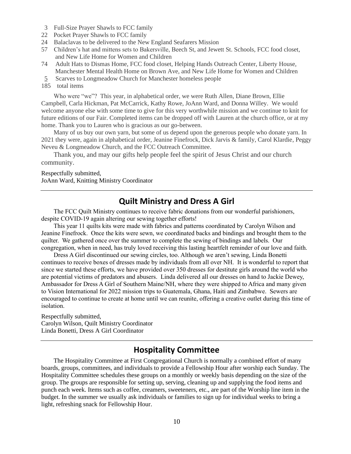- 3 Full-Size Prayer Shawls to FCC family
- 22 Pocket Prayer Shawls to FCC family
- 24 Balaclavas to be delivered to the New England Seafarers Mission
- 57 Children's hat and mittens sets to Bakersville, Beech St, and Jewett St. Schools, FCC food closet, and New Life Home for Women and Children
- 74 Adult Hats to Dismas Home, FCC food closet, Helping Hands Outreach Center, Liberty House, Manchester Mental Health Home on Brown Ave, and New Life Home for Women and Children
- 5 Scarves to Longmeadow Church for Manchester homeless people
- 185 total items

Who were "we"? This year, in alphabetical order, we were Ruth Allen, Diane Brown, Ellie Campbell, Carla Hickman, Pat McCarrick, Kathy Rowe, JoAnn Ward, and Donna Willey. We would welcome anyone else with some time to give for this very worthwhile mission and we continue to knit for future editions of our Fair. Completed items can be dropped off with Lauren at the church office, or at my home. Thank you to Lauren who is gracious as our go-between.

Many of us buy our own yarn, but some of us depend upon the generous people who donate yarn. In 2021 they were, again in alphabetical order, Jeanine Finefrock, Dick Jarvis & family, Carol Klardie, Peggy Neveu & Longmeadow Church, and the FCC Outreach Committee.

Thank you, and may our gifts help people feel the spirit of Jesus Christ and our church community.

#### Respectfully submitted, JoAnn Ward, Knitting Ministry Coordinator

#### **Quilt Ministry and Dress A Girl**

The FCC Quilt Ministry continues to receive fabric donations from our wonderful parishioners, despite COVID-19 again altering our sewing together efforts!

This year 11 quilts kits were made with fabrics and patterns coordinated by Carolyn Wilson and Jeanine Finefrock. Once the kits were sewn, we coordinated backs and bindings and brought them to the quilter. We gathered once over the summer to complete the sewing of bindings and labels. Our congregation, when in need, has truly loved receiving this lasting heartfelt reminder of our love and faith.

Dress A Girl discontinued our sewing circles, too. Although we aren't sewing, Linda Bonetti continues to receive boxes of dresses made by individuals from all over NH. It is wonderful to report that since we started these efforts, we have provided over 350 dresses for destitute girls around the world who are potential victims of predators and abusers. Linda delivered all our dresses on hand to Jackie Dewey, Ambassador for Dress A Girl of Southern Maine/NH, where they were shipped to Africa and many given to Vision International for 2022 mission trips to Guatemala, Ghana, Haiti and Zimbabwe. Sewers are encouraged to continue to create at home until we can reunite, offering a creative outlet during this time of isolation.

Respectfully submitted, Carolyn Wilson, Quilt Ministry Coordinator Linda Bonetti, Dress A Girl Coordinator

#### **Hospitality Committee**

The Hospitality Committee at First Congregational Church is normally a combined effort of many boards, groups, committees, and individuals to provide a Fellowship Hour after worship each Sunday. The Hospitality Committee schedules these groups on a monthly or weekly basis depending on the size of the group. The groups are responsible for setting up, serving, cleaning up and supplying the food items and punch each week. Items such as coffee, creamers, sweeteners, etc., are part of the Worship line item in the budget. In the summer we usually ask individuals or families to sign up for individual weeks to bring a light, refreshing snack for Fellowship Hour.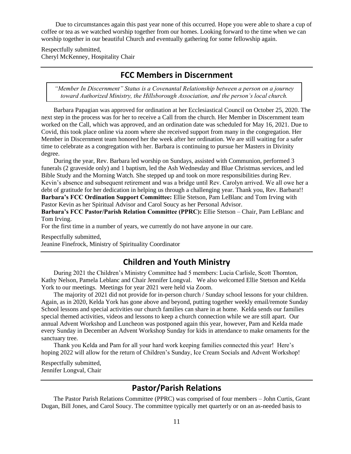Due to circumstances again this past year none of this occurred. Hope you were able to share a cup of coffee or tea as we watched worship together from our homes. Looking forward to the time when we can worship together in our beautiful Church and eventually gathering for some fellowship again.

Respectfully submitted, Cheryl McKenney, Hospitality Chair

#### **FCC Members in Discernment**

*"Member In Discernment" Status is a Covenantal Relationship between a person on a journey toward Authorized Ministry, the Hillsborough Association, and the person's local church.*

Barbara Papagian was approved for ordination at her Ecclesiastical Council on October 25, 2020. The next step in the process was for her to receive a Call from the church. Her Member in Discernment team worked on the Call, which was approved, and an ordination date was scheduled for May 16, 2021. Due to Covid, this took place online via zoom where she received support from many in the congregation. Her Member in Discernment team honored her the week after her ordination. We are still waiting for a safer time to celebrate as a congregation with her. Barbara is continuing to pursue her Masters in Divinity degree.

During the year, Rev. Barbara led worship on Sundays, assisted with Communion, performed 3 funerals (2 graveside only) and 1 baptism, led the Ash Wednesday and Blue Christmas services, and led Bible Study and the Morning Watch. She stepped up and took on more responsibilities during Rev. Kevin's absence and subsequent retirement and was a bridge until Rev. Carolyn arrived. We all owe her a debt of gratitude for her dedication in helping us through a challenging year. Thank you, Rev. Barbara!! **Barbara's FCC Ordination Support Committee:** Ellie Stetson, Pam LeBlanc and Tom Irving with Pastor Kevin as her Spiritual Advisor and Carol Soucy as her Personal Advisor.

**Barbara's FCC Pastor/Parish Relation Committee (PPRC):** Ellie Stetson – Chair, Pam LeBlanc and Tom Irving.

For the first time in a number of years, we currently do not have anyone in our care.

Respectfully submitted, Jeanine Finefrock, Ministry of Spirituality Coordinator

## **Children and Youth Ministry**

During 2021 the Children's Ministry Committee had 5 members: Lucia Carlisle, Scott Thornton, Kathy Nelson, Pamela Leblanc and Chair Jennifer Longval. We also welcomed Ellie Stetson and Kelda York to our meetings. Meetings for year 2021 were held via Zoom.

The majority of 2021 did not provide for in-person church / Sunday school lessons for your children. Again, as in 2020, Kelda York has gone above and beyond, putting together weekly email/remote Sunday School lessons and special activities our church families can share in at home. Kelda sends our families special themed activities, videos and lessons to keep a church connection while we are still apart. Our annual Advent Workshop and Luncheon was postponed again this year, however, Pam and Kelda made every Sunday in December an Advent Workshop Sunday for kids in attendance to make ornaments for the sanctuary tree.

Thank you Kelda and Pam for all your hard work keeping families connected this year! Here's hoping 2022 will allow for the return of Children's Sunday, Ice Cream Socials and Advent Workshop!

Respectfully submitted, Jennifer Longval, Chair

#### **Pastor/Parish Relations**

The Pastor Parish Relations Committee (PPRC) was comprised of four members – John Curtis, Grant Dugan, Bill Jones, and Carol Soucy. The committee typically met quarterly or on an as-needed basis to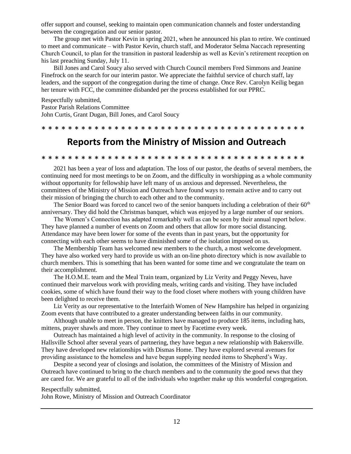offer support and counsel, seeking to maintain open communication channels and foster understanding between the congregation and our senior pastor.

The group met with Pastor Kevin in spring 2021, when he announced his plan to retire. We continued to meet and communicate – with Pastor Kevin, church staff, and Moderator Selma Naccach representing Church Council, to plan for the transition in pastoral leadership as well as Kevin's retirement reception on his last preaching Sunday, July 11.

Bill Jones and Carol Soucy also served with Church Council members Fred Simmons and Jeanine Finefrock on the search for our interim pastor. We appreciate the faithful service of church staff, lay leaders, and the support of the congregation during the time of change. Once Rev. Carolyn Keilig began her tenure with FCC, the committee disbanded per the process established for our PPRC.

Respectfully submitted, Pastor Parish Relations Committee John Curtis, Grant Dugan, Bill Jones, and Carol Soucy

\* \* \* \* \* \* \* \* \* \* \* \* \* \* \* \* \* \* \* \* \* \* \* \* \* \* \* \* \* \* \* \* \* \* \* \* \* \* \* \*

# **Reports from the Ministry of Mission and Outreach**

#### \* \* \* \* \* \* \* \* \* \* \* \* \* \* \* \* \* \* \* \* \* \* \* \* \* \* \* \* \* \* \* \* \* \* \* \* \* \* \* \*

2021 has been a year of loss and adaptation. The loss of our pastor, the deaths of several members, the continuing need for most meetings to be on Zoom, and the difficulty in worshipping as a whole community without opportunity for fellowship have left many of us anxious and depressed. Nevertheless, the committees of the Ministry of Mission and Outreach have found ways to remain active and to carry out their mission of bringing the church to each other and to the community.

The Senior Board was forced to cancel two of the senior banquets including a celebration of their  $60<sup>th</sup>$ anniversary. They did hold the Christmas banquet, which was enjoyed by a large number of our seniors.

The Women's Connection has adapted remarkably well as can be seen by their annual report below. They have planned a number of events on Zoom and others that allow for more social distancing. Attendance may have been lower for some of the events than in past years, but the opportunity for connecting with each other seems to have diminished some of the isolation imposed on us.

The Membership Team has welcomed new members to the church, a most welcome development. They have also worked very hard to provide us with an on-line photo directory which is now available to church members. This is something that has been wanted for some time and we congratulate the team on their accomplishment.

The H.O.M.E. team and the Meal Train team, organized by Liz Verity and Peggy Neveu, have continued their marvelous work with providing meals, writing cards and visiting. They have included cookies, some of which have found their way to the food closet where mothers with young children have been delighted to receive them.

Liz Verity as our representative to the Interfaith Women of New Hampshire has helped in organizing Zoom events that have contributed to a greater understanding between faiths in our community.

Although unable to meet in person, the knitters have managed to produce 185 items, including hats, mittens, prayer shawls and more. They continue to meet by Facetime every week.

Outreach has maintained a high level of activity in the community. In response to the closing of Hallsville School after several years of partnering, they have begun a new relationship with Bakersville. They have developed new relationships with Dismas Home. They have explored several avenues for providing assistance to the homeless and have begun supplying needed items to Shepherd's Way.

Despite a second year of closings and isolation, the committees of the Ministry of Mission and Outreach have continued to bring to the church members and to the community the good news that they are cared for. We are grateful to all of the individuals who together make up this wonderful congregation.

Respectfully submitted,

John Rowe, Ministry of Mission and Outreach Coordinator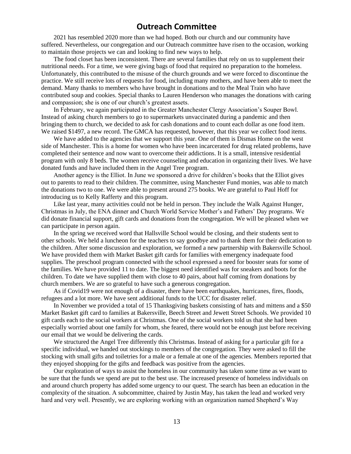#### **Outreach Committee**

2021 has resembled 2020 more than we had hoped. Both our church and our community have suffered. Nevertheless, our congregation and our Outreach committee have risen to the occasion, working to maintain those projects we can and looking to find new ways to help.

The food closet has been inconsistent. There are several families that rely on us to supplement their nutritional needs. For a time, we were giving bags of food that required no preparation to the homeless. Unfortunately, this contributed to the misuse of the church grounds and we were forced to discontinue the practice. We still receive lots of requests for food, including many mothers, and have been able to meet the demand. Many thanks to members who have brought in donations and to the Meal Train who have contributed soup and cookies. Special thanks to Lauren Henderson who manages the donations with caring and compassion; she is one of our church's greatest assets.

In February, we again participated in the Greater Manchester Clergy Association's Souper Bowl. Instead of asking church members to go to supermarkets unvaccinated during a pandemic and then bringing them to church, we decided to ask for cash donations and to count each dollar as one food item. We raised \$1497, a new record. The GMCA has requested, however, that this year we collect food items.

We have added to the agencies that we support this year. One of them is Dismas Home on the west side of Manchester. This is a home for women who have been incarcerated for drug related problems, have completed their sentence and now want to overcome their addictions. It is a small, intensive residential program with only 8 beds. The women receive counseling and education in organizing their lives. We have donated funds and have included them in the Angel Tree program.

Another agency is the Elliot. In June we sponsored a drive for children's books that the Elliot gives out to parents to read to their children. The committee, using Manchester Fund monies, was able to match the donations two to one. We were able to present around 275 books. We are grateful to Paul Hoff for introducing us to Kelly Rafferty and this program.

Like last year, many activities could not be held in person. They include the Walk Against Hunger, Christmas in July, the ENA dinner and Church World Service Mother's and Fathers' Day programs. We did donate financial support, gift cards and donations from the congregation. We will be pleased when we can participate in person again.

In the spring we received word that Hallsville School would be closing, and their students sent to other schools. We held a luncheon for the teachers to say goodbye and to thank them for their dedication to the children. After some discussion and exploration, we formed a new partnership with Bakersville School. We have provided them with Market Basket gift cards for families with emergency inadequate food supplies. The preschool program connected with the school expressed a need for booster seats for some of the families. We have provided 11 to date. The biggest need identified was for sneakers and boots for the children. To date we have supplied them with close to 40 pairs, about half coming from donations by church members. We are so grateful to have such a generous congregation.

As if Covid19 were not enough of a disaster, there have been earthquakes, hurricanes, fires, floods, refugees and a lot more. We have sent additional funds to the UCC for disaster relief.

In November we provided a total of 15 Thanksgiving baskets consisting of hats and mittens and a \$50 Market Basket gift card to families at Bakersville, Beech Street and Jewett Street Schools. We provided 10 gift cards each to the social workers at Christmas. One of the social workers told us that she had been especially worried about one family for whom, she feared, there would not be enough just before receiving our email that we would be delivering the cards.

We structured the Angel Tree differently this Christmas. Instead of asking for a particular gift for a specific individual, we handed out stockings to members of the congregation. They were asked to fill the stocking with small gifts and toiletries for a male or a female at one of the agencies. Members reported that they enjoyed shopping for the gifts and feedback was positive from the agencies.

Our exploration of ways to assist the homeless in our community has taken some time as we want to be sure that the funds we spend are put to the best use. The increased presence of homeless individuals on and around church property has added some urgency to our quest. The search has been an education in the complexity of the situation. A subcommittee, chaired by Justin May, has taken the lead and worked very hard and very well. Presently, we are exploring working with an organization named Shepherd's Way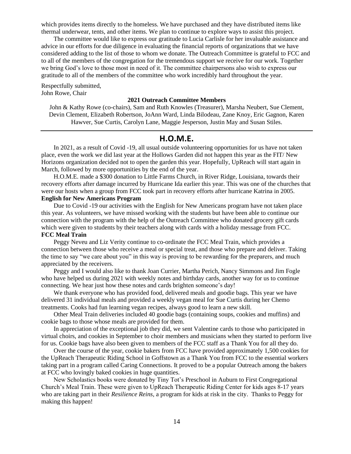which provides items directly to the homeless. We have purchased and they have distributed items like thermal underwear, tents, and other items. We plan to continue to explore ways to assist this project.

The committee would like to express our gratitude to Lucia Carlisle for her invaluable assistance and advice in our efforts for due diligence in evaluating the financial reports of organizations that we have considered adding to the list of those to whom we donate. The Outreach Committee is grateful to FCC and to all of the members of the congregation for the tremendous support we receive for our work. Together we bring God's love to those most in need of it. The committee chairpersons also wish to express our gratitude to all of the members of the committee who work incredibly hard throughout the year.

Respectfully submitted, John Rowe, Chair

#### **2021 Outreach Committee Members**

John & Kathy Rowe (co-chairs), Sam and Ruth Knowles (Treasurer), Marsha Neubert, Sue Clement, Devin Clement, Elizabeth Robertson, JoAnn Ward, Linda Bilodeau, Zane Knoy, Eric Gagnon, Karen Hawver, Sue Curtis, Carolyn Lane, Maggie Jesperson, Justin May and Susan Stiles.

#### **H.O.M.E.**

In 2021, as a result of Covid -19, all usual outside volunteering opportunities for us have not taken place, even the work we did last year at the Hollows Garden did not happen this year as the FIT/ New Horizons organization decided not to open the garden this year. Hopefully, UpReach will start again in March, followed by more opportunities by the end of the year.

H.O.M.E. made a \$300 donation to Little Farms Church, in River Ridge, Louisiana, towards their recovery efforts after damage incurred by Hurricane Ida earlier this year. This was one of the churches that were our hosts when a group from FCC took part in recovery efforts after hurricane Katrina in 2005. **English for New Americans Program**

Due to Covid -19 our activities with the English for New Americans program have not taken place this year. As volunteers, we have missed working with the students but have been able to continue our connection with the program with the help of the Outreach Committee who donated grocery gift cards which were given to students by their teachers along with cards with a holiday message from FCC. **FCC Meal Train** 

# Peggy Neveu and Liz Verity continue to co-ordinate the FCC Meal Train, which provides a

connection between those who receive a meal or special treat, and those who prepare and deliver. Taking the time to say "we care about you" in this way is proving to be rewarding for the preparers, and much appreciated by the receivers.

Peggy and I would also like to thank Joan Currier, Martha Perich, Nancy Simmons and Jim Fogle who have helped us during 2021 with weekly notes and birthday cards, another way for us to continue connecting. We hear just how these notes and cards brighten someone's day!

We thank everyone who has provided food, delivered meals and goodie bags. This year we have delivered 31 individual meals and provided a weekly vegan meal for Sue Curtis during her Chemo treatments. Cooks had fun learning vegan recipes, always good to learn a new skill.

Other Meal Train deliveries included 40 goodie bags (containing soups, cookies and muffins) and cookie bags to those whose meals are provided for them.

In appreciation of the exceptional job they did, we sent Valentine cards to those who participated in virtual choirs, and cookies in September to choir members and musicians when they started to perform live for us. Cookie bags have also been given to members of the FCC staff as a Thank You for all they do.

Over the course of the year, cookie bakers from FCC have provided approximately 1,500 cookies for the UpReach Therapeutic Riding School in Goffstown as a Thank You from FCC to the essential workers taking part in a program called Caring Connections. It proved to be a popular Outreach among the bakers at FCC who lovingly baked cookies in huge quantities.

New Scholastics books were donated by Tiny Tot's Preschool in Auburn to First Congregational Church's Meal Train. These were given to UpReach Therapeutic Riding Center for kids ages 8-17 years who are taking part in their *Resilience Reins,* a program for kids at risk in the city. Thanks to Peggy for making this happen!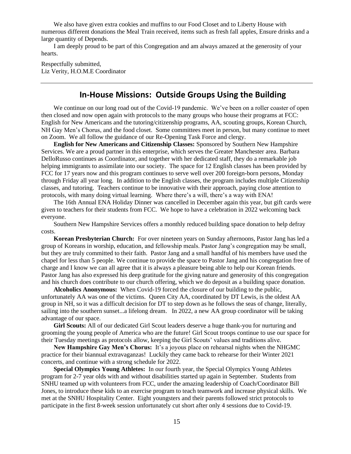We also have given extra cookies and muffins to our Food Closet and to Liberty House with numerous different donations the Meal Train received, items such as fresh fall apples, Ensure drinks and a large quantity of Depends.

I am deeply proud to be part of this Congregation and am always amazed at the generosity of your hearts.

Respectfully submitted, Liz Verity, H.O.M.E Coordinator

#### **In-House Missions: Outside Groups Using the Building**

We continue on our long road out of the Covid-19 pandemic. We've been on a roller coaster of open then closed and now open again with protocols to the many groups who house their programs at FCC: English for New Americans and the tutoring/citizenship programs, AA, scouting groups, Korean Church, NH Gay Men's Chorus, and the food closet. Some committees meet in person, but many continue to meet on Zoom. We all follow the guidance of our Re-Opening Task Force and clergy.

**English for New Americans and Citizenship Classes:** Sponsored by Southern New Hampshire Services. We are a proud partner in this enterprise, which serves the Greater Manchester area. Barbara DelloRusso continues as Coordinator, and together with her dedicated staff, they do a remarkable job helping immigrants to assimilate into our society. The space for 12 English classes has been provided by FCC for 17 years now and this program continues to serve well over 200 foreign-born persons, Monday through Friday all year long. In addition to the English classes, the program includes multiple Citizenship classes, and tutoring. Teachers continue to be innovative with their approach, paying close attention to protocols, with many doing virtual learning. Where there's a will, there's a way with ENA!

The 16th Annual ENA Holiday Dinner was cancelled in December again this year, but gift cards were given to teachers for their students from FCC. We hope to have a celebration in 2022 welcoming back everyone.

Southern New Hampshire Services offers a monthly reduced building space donation to help defray costs.

**Korean Presbyterian Church:** For over nineteen years on Sunday afternoons, Pastor Jang has led a group of Koreans in worship, education, and fellowship meals. Pastor Jang's congregation may be small, but they are truly committed to their faith. Pastor Jang and a small handful of his members have used the chapel for less than 5 people. We continue to provide the space to Pastor Jang and his congregation free of charge and I know we can all agree that it is always a pleasure being able to help our Korean friends. Pastor Jang has also expressed his deep gratitude for the giving nature and generosity of this congregation and his church does contribute to our church offering, which we do deposit as a building space donation.

**Alcoholics Anonymous:** When Covid-19 forced the closure of our building to the public, unfortunately AA was one of the victims. Queen City AA, coordinated by DT Lewis, is the oldest AA group in NH, so it was a difficult decision for DT to step down as he follows the seas of change, literally, sailing into the southern sunset...a lifelong dream. In 2022, a new AA group coordinator will be taking advantage of our space.

**Girl Scouts:** All of our dedicated Girl Scout leaders deserve a huge thank-you for nurturing and grooming the young people of America who are the future! Girl Scout troops continue to use our space for their Tuesday meetings as protocols allow, keeping the Girl Scouts' values and traditions alive.

**New Hampshire Gay Men's Chorus:** It's a joyous place on rehearsal nights when the NHGMC practice for their biannual extravaganzas! Luckily they came back to rehearse for their Winter 2021 concerts, and continue with a strong schedule for 2022.

**Special Olympics Young Athletes:** In our fourth year, the Special Olympics Young Athletes program for 2-7 year olds with and without disabilities started up again in September. Students from SNHU teamed up with volunteers from FCC, under the amazing leadership of Coach/Coordinator Bill Jones, to introduce these kids to an exercise program to teach teamwork and increase physical skills. We met at the SNHU Hospitality Center. Eight youngsters and their parents followed strict protocols to participate in the first 8-week session unfortunately cut short after only 4 sessions due to Covid-19.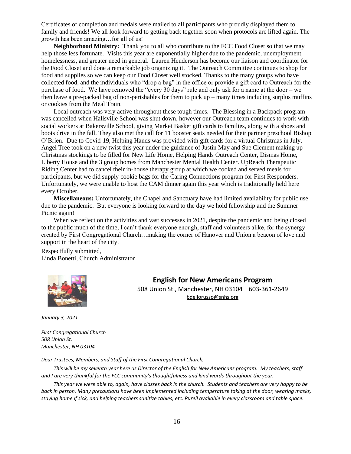Certificates of completion and medals were mailed to all participants who proudly displayed them to family and friends! We all look forward to getting back together soon when protocols are lifted again. The growth has been amazing…for all of us!

**Neighborhood Ministry:** Thank you to all who contribute to the FCC Food Closet so that we may help those less fortunate. Visits this year are exponentially higher due to the pandemic, unemployment, homelessness, and greater need in general. Lauren Henderson has become our liaison and coordinator for the Food Closet and done a remarkable job organizing it. The Outreach Committee continues to shop for food and supplies so we can keep our Food Closet well stocked. Thanks to the many groups who have collected food, and the individuals who "drop a bag" in the office or provide a gift card to Outreach for the purchase of food. We have removed the "every 30 days" rule and only ask for a name at the door – we then leave a pre-packed bag of non-perishables for them to pick up – many times including surplus muffins or cookies from the Meal Train.

Local outreach was very active throughout these tough times. The Blessing in a Backpack program was cancelled when Hallsville School was shut down, however our Outreach team continues to work with social workers at Bakersville School, giving Market Basket gift cards to families, along with a shoes and boots drive in the fall. They also met the call for 11 booster seats needed for their partner preschool Bishop O'Brien. Due to Covid-19, Helping Hands was provided with gift cards for a virtual Christmas in July. Angel Tree took on a new twist this year under the guidance of Justin May and Sue Clement making up Christmas stockings to be filled for New Life Home, Helping Hands Outreach Center, Dismas Home, Liberty House and the 3 group homes from Manchester Mental Health Center. UpReach Therapeutic Riding Center had to cancel their in-house therapy group at which we cooked and served meals for participants, but we did supply cookie bags for the Caring Connections program for First Responders. Unfortunately, we were unable to host the CAM dinner again this year which is traditionally held here every October.

**Miscellaneous:** Unfortunately, the Chapel and Sanctuary have had limited availability for public use due to the pandemic. But everyone is looking forward to the day we hold fellowship and the Summer Picnic again!

When we reflect on the activities and vast successes in 2021, despite the pandemic and being closed to the public much of the time, I can't thank everyone enough, staff and volunteers alike, for the synergy created by First Congregational Church…making the corner of Hanover and Union a beacon of love and support in the heart of the city.

Respectfully submitted, Linda Bonetti, Church Administrator



**English for New Americans Program**

508 Union St., Manchester, NH 03104 603-361-2649 [bdellorusso@snhs.org](mailto:bdellorusso@snhs.org)

*January 3, 2021*

*First Congregational Church 508 Union St. Manchester, NH 03104*

*Dear Trustees, Members, and Staff of the First Congregational Church,*

*This will be my seventh year here as Director of the English for New Americans program. My teachers, staff and I are very thankful for the FCC community's thoughtfulness and kind words throughout the year.*

*This year we were able to, again, have classes back in the church. Students and teachers are very happy to be back in person. Many precautions have been implemented including temperature taking at the door, wearing masks, staying home if sick, and helping teachers sanitize tables, etc. Purell available in every classroom and table space.*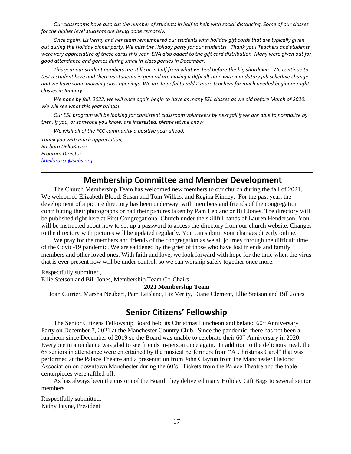*Our classrooms have also cut the number of students in half to help with social distancing. Some of our classes for the higher level students are being done remotely.*

*Once again, Liz Verity and her team remembered our students with holiday gift cards that are typically given out during the Holiday dinner party. We miss the Holiday party for our students! Thank you! Teachers and students were very appreciative of these cards this year. ENA also added to the gift card distribution. Many were given out for good attendance and games during small in-class parties in December.*

*This year our student numbers are still cut in half from what we had before the big shutdown. We continue to test a student here and there as students in general are having a difficult time with mandatory job schedule changes and we have some morning class openings. We are hopeful to add 2 more teachers for much needed beginner night classes in January.*

We hope by fall, 2022, we will once again begin to have as many ESL classes as we did before March of 2020. *We will see what this year brings!*

*Our ESL program will be looking for consistent classroom volunteers by next fall if we are able to normalize by then. If you, or someone you know, are interested, please let me know.*

*We wish all of the FCC community a positive year ahead.*

*Thank you with much appreciation, Barbara DelloRusso Program Director [bdellorusso@snhs.org](mailto:bdellorusso@snhs.org)*

#### **Membership Committee and Member Development**

The Church Membership Team has welcomed new members to our church during the fall of 2021. We welcomed Elizabeth Blood, Susan and Tom Wilkes, and Regina Kinney. For the past year, the development of a picture directory has been underway, with members and friends of the congregation contributing their photographs or had their pictures taken by Pam Leblanc or Bill Jones. The directory will be published right here at First Congregational Church under the skillful hands of Lauren Henderson. You will be instructed about how to set up a password to access the directory from our church website. Changes to the directory with pictures will be updated regularly. You can submit your changes directly online.

We pray for the members and friends of the congregation as we all journey through the difficult time of the Covid-19 pandemic. We are saddened by the grief of those who have lost friends and family members and other loved ones. With faith and love, we look forward with hope for the time when the virus that is ever present now will be under control, so we can worship safely together once more.

Respectfully submitted,

Ellie Stetson and Bill Jones, Membership Team Co-Chairs

**2021 Membership Team**

Joan Currier, Marsha Neubert, Pam LeBlanc, Liz Verity, Diane Clement, Ellie Stetson and Bill Jones

#### **Senior Citizens' Fellowship**

The Senior Citizens Fellowship Board held its Christmas Luncheon and belated 60<sup>th</sup> Anniversary Party on December 7, 2021 at the Manchester Country Club. Since the pandemic, there has not been a luncheon since December of 2019 so the Board was unable to celebrate their 60<sup>th</sup> Anniversary in 2020. Everyone in attendance was glad to see friends in-person once again. In addition to the delicious meal, the 68 seniors in attendance were entertained by the musical performers from "A Christmas Carol" that was performed at the Palace Theatre and a presentation from John Clayton from the Manchester Historic Association on downtown Manchester during the 60's. Tickets from the Palace Theatre and the table centerpieces were raffled off.

As has always been the custom of the Board, they delivered many Holiday Gift Bags to several senior members.

Respectfully submitted, Kathy Payne, President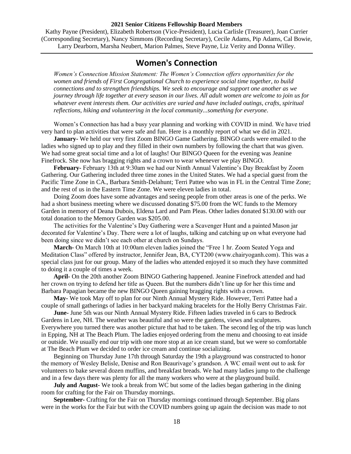#### **2021 Senior Citizens Fellowship Board Members**

Kathy Payne (President), Elizabeth Robertson (Vice-President), Lucia Carlisle (Treasurer), Joan Currier (Corresponding Secretary), Nancy Simmons (Recording Secretary), Cecile Adams, Pip Adams, Cal Bowie, Larry Dearborn, Marsha Neubert, Marion Palmes, Steve Payne, Liz Verity and Donna Willey.

## **Women's Connection**

*Women's Connection Mission Statement: The Women's Connection offers opportunities for the women and friends of First Congregational Church to experience social time together, to build connections and to strengthen friendships. We seek to encourage and support one another as we journey through life together at every season in our lives. All adult women are welcome to join us for whatever event interests them. Our activities are varied and have included outings, crafts, spiritual reflections, hiking and volunteering in the local community...something for everyone*.

Women's Connection has had a busy year planning and working with COVID in mind. We have tried very hard to plan activities that were safe and fun. Here is a monthly report of what we did in 2021.

**January-** We held our very first Zoom BINGO Game Gathering. BINGO cards were emailed to the ladies who signed up to play and they filled in their own numbers by following the chart that was given. We had some great social time and a lot of laughs! Our BINGO Queen for the evening was Jeanine Finefrock. She now has bragging rights and a crown to wear whenever we play BINGO.

**February-** February 13th at 9:30am we had our Ninth Annual Valentine's Day Breakfast by Zoom Gathering. Our Gathering included three time zones in the United States. We had a special guest from the Pacific Time Zone in CA., Barbara Smith-Delahunt; Terri Pattee who was in FL in the Central Time Zone; and the rest of us in the Eastern Time Zone. We were eleven ladies in total.

Doing Zoom does have some advantages and seeing people from other areas is one of the perks. We had a short business meeting where we discussed donating \$75.00 from the WC funds to the Memory Garden in memory of Deana Dubois, Eldena Lard and Pam Pleas. Other ladies donated \$130.00 with our total donation to the Memory Garden was \$205.00.

The activities for the Valentine's Day Gathering were a Scavenger Hunt and a painted Mason jar decorated for Valentine's Day. There were a lot of laughs, talking and catching up on what everyone had been doing since we didn't see each other at church on Sundays.

**March-** On March 10th at 10:00am eleven ladies joined the "Free 1 hr. Zoom Seated Yoga and Meditation Class" offered by instructor, Jennifer Jean, BA, CYT200 (www.chairyoganh.com). This was a special class just for our group. Many of the ladies who attended enjoyed it so much they have committed to doing it a couple of times a week.

**April-** On the 20th another Zoom BINGO Gathering happened. Jeanine Finefrock attended and had her crown on trying to defend her title as Queen. But the numbers didn't line up for her this time and Barbara Papagian became the new BINGO Queen gaining bragging rights with a crown.

**May-** We took May off to plan for our Ninth Annual Mystery Ride. However, Terri Pattee had a couple of small gatherings of ladies in her backyard making bracelets for the Holly Berry Christmas Fair.

**June-** June 5th was our Ninth Annual Mystery Ride. Fifteen ladies traveled in 6 cars to Bedrock Gardens in Lee, NH. The weather was beautiful and so were the gardens, views and sculptures. Everywhere you turned there was another picture that had to be taken. The second leg of the trip was lunch in Epping, NH at The Beach Plum. The ladies enjoyed ordering from the menu and choosing to eat inside or outside. We usually end our trip with one more stop at an ice cream stand, but we were so comfortable at The Beach Plum we decided to order ice cream and continue socializing.

Beginning on Thursday June 17th through Saturday the 19th a playground was constructed to honor the memory of Wesley Belisle, Denise and Ron Beaurivage's grandson. A WC email went out to ask for volunteers to bake several dozen muffins, and breakfast breads. We had many ladies jump to the challenge and in a few days there was plenty for all the many workers who were at the playground build.

**July and August-** We took a break from WC but some of the ladies began gathering in the dining room for crafting for the Fair on Thursday mornings.

**September-** Crafting for the Fair on Thursday mornings continued through September. Big plans were in the works for the Fair but with the COVID numbers going up again the decision was made to not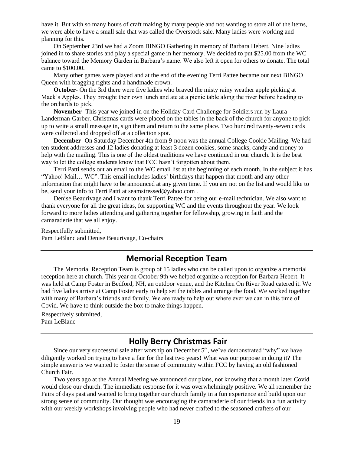have it. But with so many hours of craft making by many people and not wanting to store all of the items, we were able to have a small sale that was called the Overstock sale. Many ladies were working and planning for this.

On September 23rd we had a Zoom BINGO Gathering in memory of Barbara Hebert. Nine ladies joined in to share stories and play a special game in her memory. We decided to put \$25.00 from the WC balance toward the Memory Garden in Barbara's name. We also left it open for others to donate. The total came to \$100.00.

Many other games were played and at the end of the evening Terri Pattee became our next BINGO Queen with bragging rights and a handmade crown.

**October-** On the 3rd there were five ladies who braved the misty rainy weather apple picking at Mack's Apples. They brought their own lunch and ate at a picnic table along the river before heading to the orchards to pick.

**November-** This year we joined in on the Holiday Card Challenge for Soldiers run by Laura Landerman-Garber. Christmas cards were placed on the tables in the back of the church for anyone to pick up to write a small message in, sign them and return to the same place. Two hundred twenty-seven cards were collected and dropped off at a collection spot.

**December-** On Saturday December 4th from 9-noon was the annual College Cookie Mailing. We had ten student addresses and 12 ladies donating at least 3 dozen cookies, some snacks, candy and money to help with the mailing. This is one of the oldest traditions we have continued in our church. It is the best way to let the college students know that FCC hasn't forgotten about them.

Terri Patti sends out an email to the WC email list at the beginning of each month. In the subject it has "Yahoo! Mail… WC". This email includes ladies' birthdays that happen that month and any other information that might have to be announced at any given time. If you are not on the list and would like to be, send your info to Terri Patti at seamstressed@yahoo.com .

Denise Beaurivage and I want to thank Terri Pattee for being our e-mail technician. We also want to thank everyone for all the great ideas, for supporting WC and the events throughout the year. We look forward to more ladies attending and gathering together for fellowship, growing in faith and the camaraderie that we all enjoy.

Respectfully submitted, Pam LeBlanc and Denise Beaurivage, Co-chairs

## **Memorial Reception Team**

The Memorial Reception Team is group of 15 ladies who can be called upon to organize a memorial reception here at church. This year on October 9th we helped organize a reception for Barbara Hebert. It was held at Camp Foster in Bedford, NH, an outdoor venue, and the Kitchen On River Road catered it. We had five ladies arrive at Camp Foster early to help set the tables and arrange the food. We worked together with many of Barbara's friends and family. We are ready to help out where ever we can in this time of Covid. We have to think outside the box to make things happen.

Respectively submitted, Pam LeBlanc

## **Holly Berry Christmas Fair**

Since our very successful sale after worship on December  $5<sup>th</sup>$ , we've demonstrated "why" we have diligently worked on trying to have a fair for the last two years! What was our purpose in doing it? The simple answer is we wanted to foster the sense of community within FCC by having an old fashioned Church Fair.

Two years ago at the Annual Meeting we announced our plans, not knowing that a month later Covid would close our church. The immediate response for it was overwhelmingly positive. We all remember the Fairs of days past and wanted to bring together our church family in a fun experience and build upon our strong sense of community. Our thought was encouraging the camaraderie of our friends in a fun activity with our weekly workshops involving people who had never crafted to the seasoned crafters of our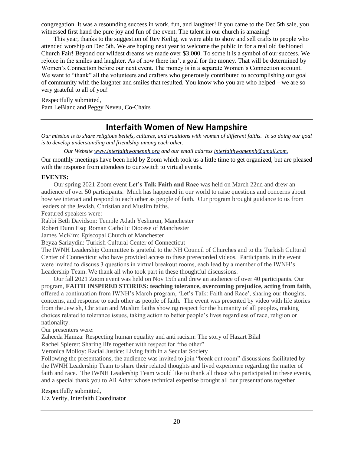congregation. It was a resounding success in work, fun, and laughter! If you came to the Dec 5th sale, you witnessed first hand the pure joy and fun of the event. The talent in our church is amazing!

This year, thanks to the suggestion of Rev Keilig, we were able to show and sell crafts to people who attended worship on Dec 5th. We are hoping next year to welcome the public in for a real old fashioned Church Fair! Beyond our wildest dreams we made over \$3,000. To some it is a symbol of our success. We rejoice in the smiles and laughter. As of now there isn't a goal for the money. That will be determined by Women's Connection before our next event. The money is in a separate Women's Connection account. We want to "thank" all the volunteers and crafters who generously contributed to accomplishing our goal of community with the laughter and smiles that resulted. You know who you are who helped – we are so very grateful to all of you!

Respectfully submitted, Pam LeBlanc and Peggy Neveu, Co-Chairs

# **Interfaith Women of New Hampshire**

*Our mission is to share religious beliefs, cultures, and traditions with women of different faiths. In so doing our goal is to develop understanding and friendship among each other.*

*Our Website [www.interfaithwomennh.org](http://www/) and our email address [interfaithwomennh@gmail.com.](mailto:interfaithwomennh@gmail.com)* 

Our monthly meetings have been held by Zoom which took us a little time to get organized, but are pleased with the response from attendees to our switch to virtual events.

#### **EVENTS:**

Our spring 2021 Zoom event **Let's Talk Faith and Race** was held on March 22nd and drew an audience of over 50 participants. Much has happened in our world to raise questions and concerns about how we interact and respond to each other as people of faith. Our program brought guidance to us from leaders of the Jewish, Christian and Muslim faiths.

Featured speakers were:

Rabbi Beth Davidson: Temple Adath Yeshurun, Manchester

Robert Dunn Esq: Roman Catholic Diocese of Manchester

James McKim: Episcopal Church of Manchester

Beyza Sariaydin: Turkish Cultural Center of Connecticut

The IWNH Leadership Committee is grateful to the NH Council of Churches and to the Turkish Cultural Center of Connecticut who have provided access to these prerecorded videos. Participants in the event were invited to discuss 3 questions in virtual breakout rooms, each lead by a member of the IWNH's Leadership Team. We thank all who took part in these thoughtful discussions.

Our fall 2021 Zoom event was held on Nov 15th and drew an audience of over 40 participants. Our program, **FAITH INSPIRED STORIES: teaching tolerance, overcoming prejudice, acting from faith**, offered a continuation from IWNH's March program, 'Let's Talk: Faith and Race', sharing our thoughts, concerns, and response to each other as people of faith. The event was presented by video with life stories from the Jewish, Christian and Muslim faiths showing respect for the humanity of all peoples, making choices related to tolerance issues, taking action to better people's lives regardless of race, religion or nationality.

Our presenters were:

Zaheeda Hamza: Respecting human equality and anti racism: The story of Hazart Bilal

Rachel Spierer: Sharing life together with respect for "the other"

Veronica Molloy: Racial Justice: Living faith in a Secular Society

Following the presentations, the audience was invited to join "break out room" discussions facilitated by the IWNH Leadership Team to share their related thoughts and lived experience regarding the matter of faith and race. The IWNH Leadership Team would like to thank all those who participated in these events, and a special thank you to Ali Athar whose technical expertise brought all our presentations together

Respectfully submitted, Liz Verity, Interfaith Coordinator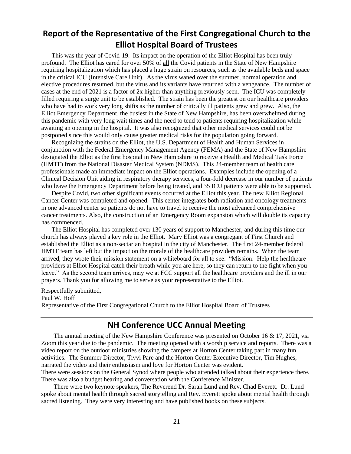# **Report of the Representative of the First Congregational Church to the Elliot Hospital Board of Trustees**

This was the year of Covid-19. Its impact on the operation of the Elliot Hospital has been truly profound. The Elliot has cared for over 50% of all the Covid patients in the State of New Hampshire requiring hospitalization which has placed a huge strain on resources, such as the available beds and space in the critical ICU (Intensive Care Unit). As the virus waned over the summer, normal operation and elective procedures resumed, but the virus and its variants have returned with a vengeance. The number of cases at the end of 2021 is a factor of 2x higher than anything previously seen. The ICU was completely filled requiring a surge unit to be established. The strain has been the greatest on our healthcare providers who have had to work very long shifts as the number of critically ill patients grew and grew. Also, the Elliot Emergency Department, the busiest in the State of New Hampshire, has been overwhelmed during this pandemic with very long wait times and the need to tend to patients requiring hospitalization while awaiting an opening in the hospital. It was also recognized that other medical services could not be postponed since this would only cause greater medical risks for the population going forward.

Recognizing the strains on the Elliot, the U.S. Department of Health and Human Services in conjunction with the Federal Emergency Management Agency (FEMA) and the State of New Hampshire designated the Elliot as the first hospital in New Hampshire to receive a Health and Medical Task Force (HMTF) from the National Disaster Medical System (NDMS). This 24-member team of health care professionals made an immediate impact on the Elliot operations. Examples include the opening of a Clinical Decision Unit aiding in respiratory therapy services, a four-fold decrease in our number of patients who leave the Emergency Department before being treated, and 35 ICU patients were able to be supported.

Despite Covid, two other significant events occurred at the Elliot this year. The new Elliot Regional Cancer Center was completed and opened. This center integrates both radiation and oncology treatments in one advanced center so patients do not have to travel to receive the most advanced comprehensive cancer treatments. Also, the construction of an Emergency Room expansion which will double its capacity has commenced.

The Elliot Hospital has completed over 130 years of support to Manchester, and during this time our church has always played a key role in the Elliot. Mary Elliot was a congregant of First Church and established the Elliot as a non-sectarian hospital in the city of Manchester. The first 24-member federal HMTF team has left but the impact on the morale of the healthcare providers remains. When the team arrived, they wrote their mission statement on a whiteboard for all to see. "Mission: Help the healthcare providers at Elliot Hospital catch their breath while you are here, so they can return to the fight when you leave." As the second team arrives, may we at FCC support all the healthcare providers and the ill in our prayers. Thank you for allowing me to serve as your representative to the Elliot.

Respectfully submitted, Paul W. Hoff Representative of the First Congregational Church to the Elliot Hospital Board of Trustees

## **NH Conference UCC Annual Meeting**

The annual meeting of the New Hampshire Conference was presented on October 16 & 17, 2021, via Zoom this year due to the pandemic. The meeting opened with a worship service and reports. There was a video report on the outdoor ministries showing the campers at Horton Center taking part in many fun activities. The Summer Director, Tivvi Pare and the Horton Center Executive Director, Tim Hughes, narrated the video and their enthusiasm and love for Horton Center was evident.

There were sessions on the General Synod where people who attended talked about their experience there. There was also a budget hearing and conversation with the Conference Minister.

There were two keynote speakers, The Reverend Dr. Sarah Lund and Rev. Chad Everett. Dr. Lund spoke about mental health through sacred storytelling and Rev. Everett spoke about mental health through sacred listening. They were very interesting and have published books on these subjects.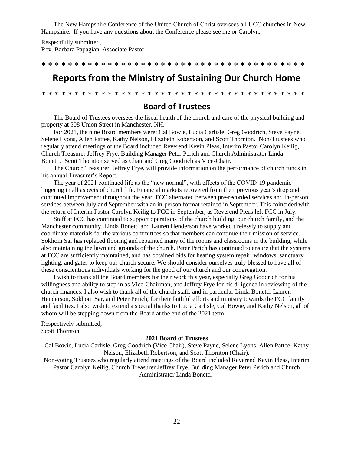The New Hampshire Conference of the United Church of Christ oversees all UCC churches in New Hampshire. If you have any questions about the Conference please see me or Carolyn.

Respectfully submitted, Rev. Barbara Papagian, Associate Pastor

\* \* \* \* \* \* \* \* \* \* \* \* \* \* \* \* \* \* \* \* \* \* \* \* \* \* \* \* \* \* \* \* \* \* \* \* \* \* \* \*

# **Reports from the Ministry of Sustaining Our Church Home**

\* \* \* \* \* \* \* \* \* \* \* \* \* \* \* \* \* \* \* \* \* \* \* \* \* \* \* \* \* \* \* \* \* \* \* \* \* \* \* \*

#### **Board of Trustees**

The Board of Trustees oversees the fiscal health of the church and care of the physical building and property at 508 Union Street in Manchester, NH.

For 2021, the nine Board members were: Cal Bowie, Lucia Carlisle, Greg Goodrich, Steve Payne, Selene Lyons, Allen Pattee, Kathy Nelson, Elizabeth Robertson, and Scott Thornton. Non-Trustees who regularly attend meetings of the Board included Reverend Kevin Pleas, Interim Pastor Carolyn Keilig, Church Treasurer Jeffrey Frye, Building Manager Peter Perich and Church Administrator Linda Bonetti. Scott Thornton served as Chair and Greg Goodrich as Vice-Chair.

The Church Treasurer, Jeffrey Frye, will provide information on the performance of church funds in his annual Treasurer's Report.

The year of 2021 continued life as the "new normal", with effects of the COVID-19 pandemic lingering in all aspects of church life. Financial markets recovered from their previous year's drop and continued improvement throughout the year. FCC alternated between pre-recorded services and in-person services between July and September with an in-person format retained in September. This coincided with the return of Interim Pastor Carolyn Keilig to FCC in September, as Reverend Pleas left FCC in July.

Staff at FCC has continued to support operations of the church building, our church family, and the Manchester community. Linda Bonetti and Lauren Henderson have worked tirelessly to supply and coordinate materials for the various committees so that members can continue their mission of service. Sokhom Sar has replaced flooring and repainted many of the rooms and classrooms in the building, while also maintaining the lawn and grounds of the church. Peter Perich has continued to ensure that the systems at FCC are sufficiently maintained, and has obtained bids for heating system repair, windows, sanctuary lighting, and gates to keep our church secure. We should consider ourselves truly blessed to have all of these conscientious individuals working for the good of our church and our congregation.

I wish to thank all the Board members for their work this year, especially Greg Goodrich for his willingness and ability to step in as Vice-Chairman, and Jeffrey Frye for his diligence in reviewing of the church finances. I also wish to thank all of the church staff, and in particular Linda Bonetti, Lauren Henderson, Sokhom Sar, and Peter Perich, for their faithful efforts and ministry towards the FCC family and facilities. I also wish to extend a special thanks to Lucia Carlisle, Cal Bowie, and Kathy Nelson, all of whom will be stepping down from the Board at the end of the 2021 term.

Respectively submitted, Scott Thornton

#### **2021 Board of Trustees**

Cal Bowie, Lucia Carlisle, Greg Goodrich (Vice Chair), Steve Payne, Selene Lyons, Allen Pattee, Kathy Nelson, Elizabeth Robertson, and Scott Thornton (Chair).

Non-voting Trustees who regularly attend meetings of the Board included Reverend Kevin Pleas, Interim Pastor Carolyn Keilig, Church Treasurer Jeffrey Frye, Building Manager Peter Perich and Church Administrator Linda Bonetti.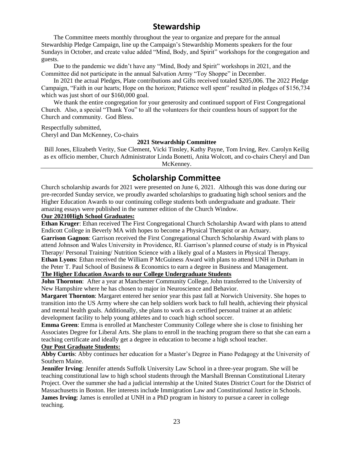# **Stewardship**

The Committee meets monthly throughout the year to organize and prepare for the annual Stewardship Pledge Campaign, line up the Campaign's Stewardship Moments speakers for the four Sundays in October, and create value added "Mind, Body, and Spirit" workshops for the congregation and guests.

Due to the pandemic we didn't have any "Mind, Body and Spirit" workshops in 2021, and the Committee did not participate in the annual Salvation Army "Toy Shoppe" in December.

In 2021 the actual Pledges, Plate contributions and Gifts received totaled \$205,006. The 2022 Pledge Campaign, "Faith in our hearts; Hope on the horizon; Patience well spent" resulted in pledges of \$156,734 which was just short of our \$160,000 goal.

We thank the entire congregation for your generosity and continued support of First Congregational Church. Also, a special "Thank You" to all the volunteers for their countless hours of support for the Church and community. God Bless.

Respectfully submitted,

Cheryl and Dan McKenney, Co-chairs

#### **2021 Stewardship Committee**

Bill Jones, Elizabeth Verity, Sue Clement, Vicki Tinsley, Kathy Payne, Tom Irving, Rev. Carolyn Keilig as ex officio member, Church Administrator Linda Bonetti, Anita Wolcott, and co-chairs Cheryl and Dan McKenney.

## **Scholarship Committee**

Church scholarship awards for 2021 were presented on June 6, 2021. Although this was done during our pre-recorded Sunday service, we proudly awarded scholarships to graduating high school seniors and the Higher Education Awards to our continuing college students both undergraduate and graduate. Their amazing essays were published in the summer edition of the Church Window.

#### **Our 20210High School Graduates:**

**Ethan Kruger**: Ethan received The First Congregational Church Scholarship Award with plans to attend Endicott College in Beverly MA with hopes to become a Physical Therapist or an Actuary.

**Garrison Gagnon**: Garrison received the First Congregational Church Scholarship Award with plans to attend Johnson and Wales University in Providence, RI. Garrison's planned course of study is in Physical Therapy/ Personal Training/ Nutrition Science with a likely goal of a Masters in Physical Therapy. **Ethan Lyons**: Ethan received the William P McGuiness Award with plans to attend UNH in Durham in

the Peter T. Paul School of Business & Economics to earn a degree in Business and Management.

#### **The Higher Education Awards to our College Undergraduate Students**

**John Thornton**: After a year at Manchester Community College, John transferred to the University of New Hampshire where he has chosen to major in Neuroscience and Behavior.

**Margaret Thornton**: Margaret entered her senior year this past fall at Norwich University. She hopes to transition into the US Army where she can help soldiers work back to full health, achieving their physical and mental health goals. Additionally, she plans to work as a certified personal trainer at an athletic development facility to help young athletes and to coach high school soccer.

**Emma Green**: Emma is enrolled at Manchester Community College where she is close to finishing her Associates Degree for Liberal Arts. She plans to enroll in the teaching program there so that she can earn a teaching certificate and ideally get a degree in education to become a high school teacher.

#### **Our Post Graduate Students:**

**Abby Curtis**: Abby continues her education for a Master's Degree in Piano Pedagogy at the University of Southern Maine.

**Jennifer Irving**: Jennifer attends Suffolk University Law School in a three-year program. She will be teaching constitutional law to high school students through the Marshall Brennan Constitutional Literary Project. Over the summer she had a judicial internship at the United States District Court for the District of Massachusetts in Boston. Her interests include Immigration Law and Constitutional Justice in Schools. **James Irving**: James is enrolled at UNH in a PhD program in history to pursue a career in college teaching.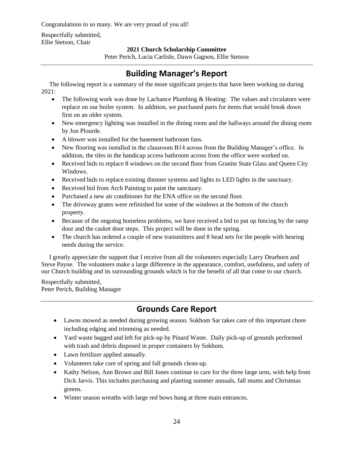Congratulations to so many. We are very proud of you all!

Respectfully submitted, Ellie Stetson, Chair

#### **2021 Church Scholarship Committee**

Peter Perich, Lucia Carlisle, Dawn Gagnon, Ellie Stetson

# **Building Manager's Report**

 The following report is a summary of the more significant projects that have been working on during 2021:

- The following work was done by Lachance Plumbing & Heating: The values and circulators were replace on our boiler system. In addition, we purchased parts for items that would break down first on an older system.
- New emergency lighting was installed in the dining room and the hallways around the dining room by Jon Plourde.
- A blower was installed for the basement bathroom fans.
- New flooring was installed in the classroom B14 across from the Building Manager's office. In addition, the tiles in the handicap access bathroom across from the office were worked on.
- Received bids to replace 8 windows on the second floor from Granite State Glass and Queen City Windows.
- Received bids to replace existing dimmer systems and lights to LED lights in the sanctuary.
- Received bid from Arch Painting to paint the sanctuary.
- Purchased a new air conditioner for the ENA office on the second floor.
- The driveway grates were refinished for some of the windows at the bottom of the church property.
- Because of the ongoing homeless problems, we have received a bid to put up fencing by the ramp door and the casket door steps. This project will be done in the spring.
- The church has ordered a couple of new transmitters and 8 head sets for the people with hearing needs during the service.

 I greatly appreciate the support that I receive from all the volunteers especially Larry Dearborn and Steve Payne. The volunteers make a large difference in the appearance, comfort, usefulness, and safety of our Church building and its surrounding grounds which is for the benefit of all that come to our church.

Respectfully submitted, Peter Perich, Building Manager

# **Grounds Care Report**

- Lawns mowed as needed during growing season. Sokhom Sar takes care of this important chore including edging and trimming as needed.
- Yard waste bagged and left for pick-up by Pinard Waste. Daily pick-up of grounds performed with trash and debris disposed in proper containers by Sokhom.
- Lawn fertilizer applied annually.
- Volunteers take care of spring and fall grounds clean-up.
- Kathy Nelson, Ann Brown and Bill Jones continue to care for the three large urns, with help from Dick Jarvis. This includes purchasing and planting summer annuals, fall mums and Christmas greens.
- Winter season wreaths with large red bows hung at three main entrances.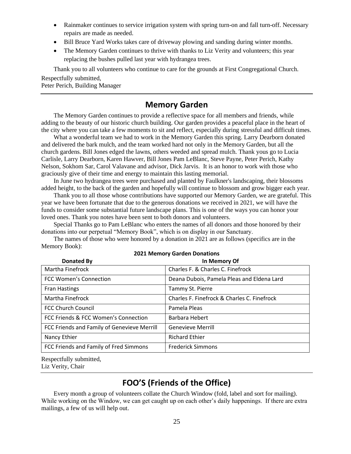- Rainmaker continues to service irrigation system with spring turn-on and fall turn-off. Necessary repairs are made as needed.
- Bill Bruce Yard Works takes care of driveway plowing and sanding during winter months.
- The Memory Garden continues to thrive with thanks to Liz Verity and volunteers; this year replacing the bushes pulled last year with hydrangea trees.

Thank you to all volunteers who continue to care for the grounds at First Congregational Church.

Respectfully submitted, Peter Perich, Building Manager

## **Memory Garden**

The Memory Garden continues to provide a reflective space for all members and friends, while adding to the beauty of our historic church building. Our garden provides a peaceful place in the heart of the city where you can take a few moments to sit and reflect, especially during stressful and difficult times.

What a wonderful team we had to work in the Memory Garden this spring. Larry Dearborn donated and delivered the bark mulch, and the team worked hard not only in the Memory Garden, but all the church gardens. Bill Jones edged the lawns, others weeded and spread mulch. Thank yous go to Lucia Carlisle, Larry Dearborn, Karen Hawver, Bill Jones Pam LeBlanc, Steve Payne, Peter Perich, Kathy Nelson, Sokhom Sar, Carol Valavane and advisor, Dick Jarvis. It is an honor to work with those who graciously give of their time and energy to maintain this lasting memorial.

In June two hydrangea trees were purchased and planted by Faulkner's landscaping, their blossoms added height, to the back of the garden and hopefully will continue to blossom and grow bigger each year.

Thank you to all those whose contributions have supported our Memory Garden, we are grateful. This year we have been fortunate that due to the generous donations we received in 2021, we will have the funds to consider some substantial future landscape plans. This is one of the ways you can honor your loved ones. Thank you notes have been sent to both donors and volunteers.

Special Thanks go to Pam LeBlanc who enters the names of all donors and those honored by their donations into our perpetual "Memory Book", which is on display in our Sanctuary.

The names of those who were honored by a donation in 2021 are as follows (specifics are in the Memory Book):

| <b>Donated By</b>                           | In Memory Of                                |
|---------------------------------------------|---------------------------------------------|
| Martha Finefrock                            | Charles F. & Charles C. Finefrock           |
| <b>FCC Women's Connection</b>               | Deana Dubois, Pamela Pleas and Eldena Lard  |
| <b>Fran Hastings</b>                        | Tammy St. Pierre                            |
| Martha Finefrock                            | Charles F. Finefrock & Charles C. Finefrock |
| <b>FCC Church Council</b>                   | Pamela Pleas                                |
| FCC Friends & FCC Women's Connection        | Barbara Hebert                              |
| FCC Friends and Family of Genevieve Merrill | <b>Genevieve Merrill</b>                    |
| Nancy Ethier                                | <b>Richard Ethier</b>                       |
| FCC Friends and Family of Fred Simmons      | <b>Frederick Simmons</b>                    |

**2021 Memory Garden Donations**

Respectfully submitted, Liz Verity, Chair

# **FOO'S (Friends of the Office)**

Every month a group of volunteers collate the Church Window (fold, label and sort for mailing). While working on the Window, we can get caught up on each other's daily happenings. If there are extra mailings, a few of us will help out.